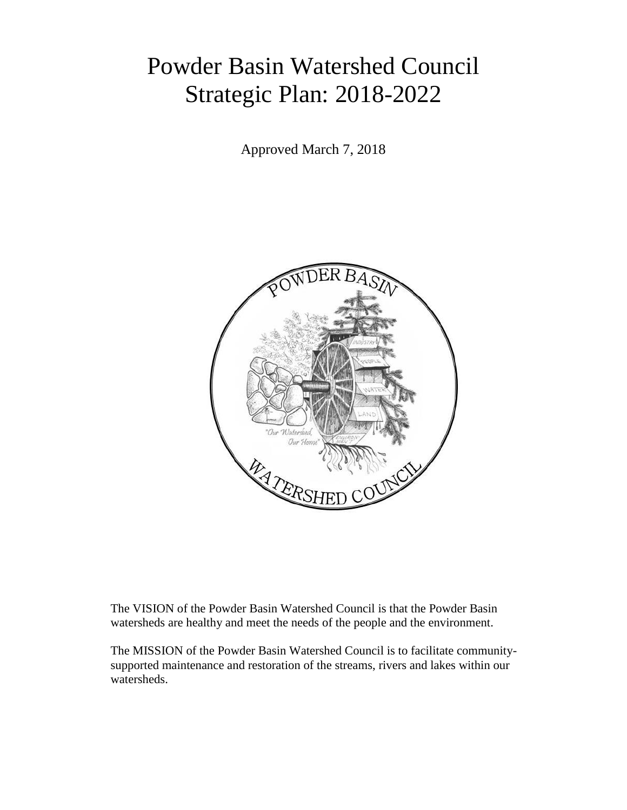# Powder Basin Watershed Council Strategic Plan: 2018-2022

Approved March 7, 2018



The VISION of the Powder Basin Watershed Council is that the Powder Basin watersheds are healthy and meet the needs of the people and the environment.

The MISSION of the Powder Basin Watershed Council is to facilitate communitysupported maintenance and restoration of the streams, rivers and lakes within our watersheds.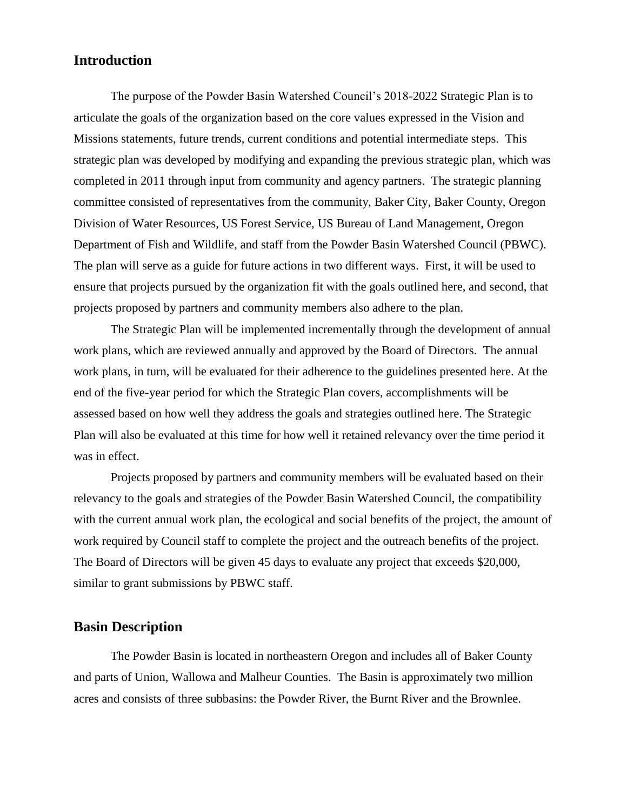### **Introduction**

The purpose of the Powder Basin Watershed Council's 2018-2022 Strategic Plan is to articulate the goals of the organization based on the core values expressed in the Vision and Missions statements, future trends, current conditions and potential intermediate steps. This strategic plan was developed by modifying and expanding the previous strategic plan, which was completed in 2011 through input from community and agency partners. The strategic planning committee consisted of representatives from the community, Baker City, Baker County, Oregon Division of Water Resources, US Forest Service, US Bureau of Land Management, Oregon Department of Fish and Wildlife, and staff from the Powder Basin Watershed Council (PBWC). The plan will serve as a guide for future actions in two different ways. First, it will be used to ensure that projects pursued by the organization fit with the goals outlined here, and second, that projects proposed by partners and community members also adhere to the plan.

The Strategic Plan will be implemented incrementally through the development of annual work plans, which are reviewed annually and approved by the Board of Directors. The annual work plans, in turn, will be evaluated for their adherence to the guidelines presented here. At the end of the five-year period for which the Strategic Plan covers, accomplishments will be assessed based on how well they address the goals and strategies outlined here. The Strategic Plan will also be evaluated at this time for how well it retained relevancy over the time period it was in effect.

Projects proposed by partners and community members will be evaluated based on their relevancy to the goals and strategies of the Powder Basin Watershed Council, the compatibility with the current annual work plan, the ecological and social benefits of the project, the amount of work required by Council staff to complete the project and the outreach benefits of the project. The Board of Directors will be given 45 days to evaluate any project that exceeds \$20,000, similar to grant submissions by PBWC staff.

## **Basin Description**

The Powder Basin is located in northeastern Oregon and includes all of Baker County and parts of Union, Wallowa and Malheur Counties. The Basin is approximately two million acres and consists of three subbasins: the Powder River, the Burnt River and the Brownlee.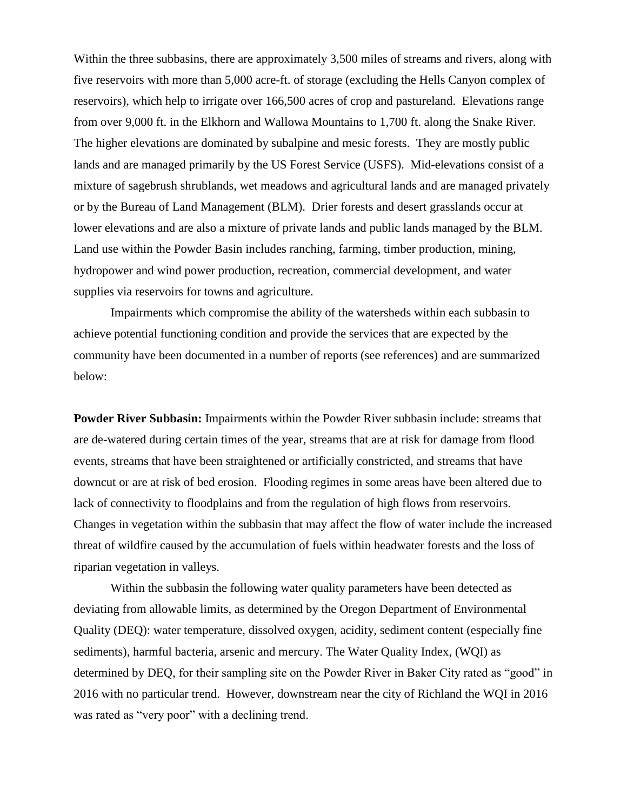Within the three subbasins, there are approximately 3,500 miles of streams and rivers, along with five reservoirs with more than 5,000 acre-ft. of storage (excluding the Hells Canyon complex of reservoirs), which help to irrigate over 166,500 acres of crop and pastureland. Elevations range from over 9,000 ft. in the Elkhorn and Wallowa Mountains to 1,700 ft. along the Snake River. The higher elevations are dominated by subalpine and mesic forests. They are mostly public lands and are managed primarily by the US Forest Service (USFS). Mid-elevations consist of a mixture of sagebrush shrublands, wet meadows and agricultural lands and are managed privately or by the Bureau of Land Management (BLM). Drier forests and desert grasslands occur at lower elevations and are also a mixture of private lands and public lands managed by the BLM. Land use within the Powder Basin includes ranching, farming, timber production, mining, hydropower and wind power production, recreation, commercial development, and water supplies via reservoirs for towns and agriculture.

Impairments which compromise the ability of the watersheds within each subbasin to achieve potential functioning condition and provide the services that are expected by the community have been documented in a number of reports (see references) and are summarized below:

**Powder River Subbasin:** Impairments within the Powder River subbasin include: streams that are de-watered during certain times of the year, streams that are at risk for damage from flood events, streams that have been straightened or artificially constricted, and streams that have downcut or are at risk of bed erosion. Flooding regimes in some areas have been altered due to lack of connectivity to floodplains and from the regulation of high flows from reservoirs. Changes in vegetation within the subbasin that may affect the flow of water include the increased threat of wildfire caused by the accumulation of fuels within headwater forests and the loss of riparian vegetation in valleys.

Within the subbasin the following water quality parameters have been detected as deviating from allowable limits, as determined by the Oregon Department of Environmental Quality (DEQ): water temperature, dissolved oxygen, acidity, sediment content (especially fine sediments), harmful bacteria, arsenic and mercury. The Water Quality Index, (WQI) as determined by DEQ, for their sampling site on the Powder River in Baker City rated as "good" in 2016 with no particular trend. However, downstream near the city of Richland the WQI in 2016 was rated as "very poor" with a declining trend.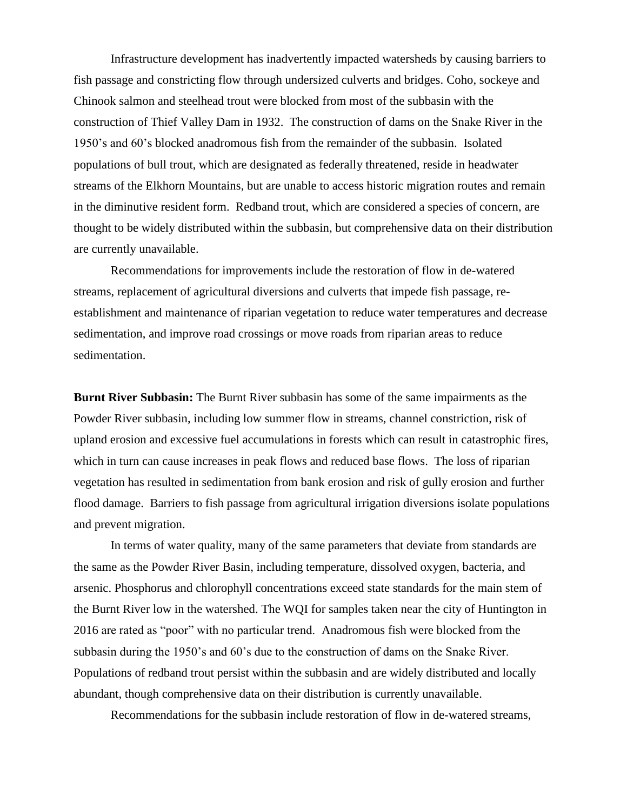Infrastructure development has inadvertently impacted watersheds by causing barriers to fish passage and constricting flow through undersized culverts and bridges. Coho, sockeye and Chinook salmon and steelhead trout were blocked from most of the subbasin with the construction of Thief Valley Dam in 1932. The construction of dams on the Snake River in the 1950's and 60's blocked anadromous fish from the remainder of the subbasin. Isolated populations of bull trout, which are designated as federally threatened, reside in headwater streams of the Elkhorn Mountains, but are unable to access historic migration routes and remain in the diminutive resident form. Redband trout, which are considered a species of concern, are thought to be widely distributed within the subbasin, but comprehensive data on their distribution are currently unavailable.

Recommendations for improvements include the restoration of flow in de-watered streams, replacement of agricultural diversions and culverts that impede fish passage, reestablishment and maintenance of riparian vegetation to reduce water temperatures and decrease sedimentation, and improve road crossings or move roads from riparian areas to reduce sedimentation.

**Burnt River Subbasin:** The Burnt River subbasin has some of the same impairments as the Powder River subbasin, including low summer flow in streams, channel constriction, risk of upland erosion and excessive fuel accumulations in forests which can result in catastrophic fires, which in turn can cause increases in peak flows and reduced base flows. The loss of riparian vegetation has resulted in sedimentation from bank erosion and risk of gully erosion and further flood damage. Barriers to fish passage from agricultural irrigation diversions isolate populations and prevent migration.

In terms of water quality, many of the same parameters that deviate from standards are the same as the Powder River Basin, including temperature, dissolved oxygen, bacteria, and arsenic. Phosphorus and chlorophyll concentrations exceed state standards for the main stem of the Burnt River low in the watershed. The WQI for samples taken near the city of Huntington in 2016 are rated as "poor" with no particular trend. Anadromous fish were blocked from the subbasin during the 1950's and 60's due to the construction of dams on the Snake River. Populations of redband trout persist within the subbasin and are widely distributed and locally abundant, though comprehensive data on their distribution is currently unavailable.

Recommendations for the subbasin include restoration of flow in de-watered streams,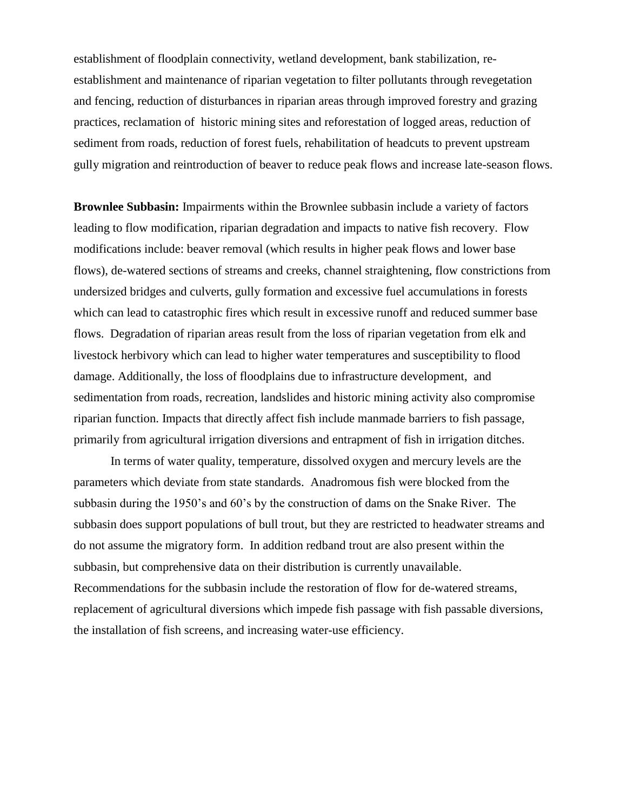establishment of floodplain connectivity, wetland development, bank stabilization, reestablishment and maintenance of riparian vegetation to filter pollutants through revegetation and fencing, reduction of disturbances in riparian areas through improved forestry and grazing practices, reclamation of historic mining sites and reforestation of logged areas, reduction of sediment from roads, reduction of forest fuels, rehabilitation of headcuts to prevent upstream gully migration and reintroduction of beaver to reduce peak flows and increase late-season flows.

**Brownlee Subbasin:** Impairments within the Brownlee subbasin include a variety of factors leading to flow modification, riparian degradation and impacts to native fish recovery. Flow modifications include: beaver removal (which results in higher peak flows and lower base flows), de-watered sections of streams and creeks, channel straightening, flow constrictions from undersized bridges and culverts, gully formation and excessive fuel accumulations in forests which can lead to catastrophic fires which result in excessive runoff and reduced summer base flows. Degradation of riparian areas result from the loss of riparian vegetation from elk and livestock herbivory which can lead to higher water temperatures and susceptibility to flood damage. Additionally, the loss of floodplains due to infrastructure development, and sedimentation from roads, recreation, landslides and historic mining activity also compromise riparian function. Impacts that directly affect fish include manmade barriers to fish passage, primarily from agricultural irrigation diversions and entrapment of fish in irrigation ditches.

In terms of water quality, temperature, dissolved oxygen and mercury levels are the parameters which deviate from state standards. Anadromous fish were blocked from the subbasin during the 1950's and 60's by the construction of dams on the Snake River. The subbasin does support populations of bull trout, but they are restricted to headwater streams and do not assume the migratory form. In addition redband trout are also present within the subbasin, but comprehensive data on their distribution is currently unavailable. Recommendations for the subbasin include the restoration of flow for de-watered streams, replacement of agricultural diversions which impede fish passage with fish passable diversions, the installation of fish screens, and increasing water-use efficiency.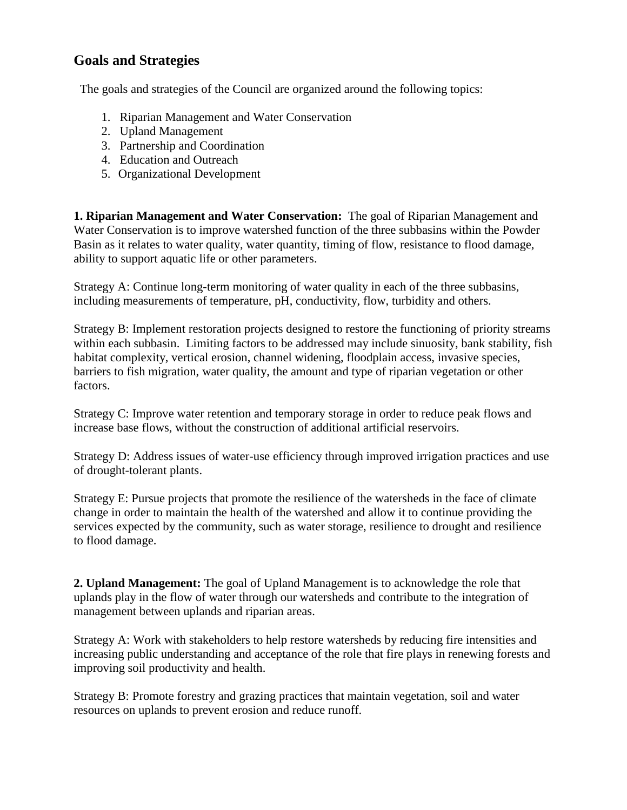## **Goals and Strategies**

The goals and strategies of the Council are organized around the following topics:

- 1. Riparian Management and Water Conservation
- 2. Upland Management
- 3. Partnership and Coordination
- 4. Education and Outreach
- 5. Organizational Development

**1. Riparian Management and Water Conservation:** The goal of Riparian Management and Water Conservation is to improve watershed function of the three subbasins within the Powder Basin as it relates to water quality, water quantity, timing of flow, resistance to flood damage, ability to support aquatic life or other parameters.

Strategy A: Continue long-term monitoring of water quality in each of the three subbasins, including measurements of temperature, pH, conductivity, flow, turbidity and others.

Strategy B: Implement restoration projects designed to restore the functioning of priority streams within each subbasin. Limiting factors to be addressed may include sinuosity, bank stability, fish habitat complexity, vertical erosion, channel widening, floodplain access, invasive species, barriers to fish migration, water quality, the amount and type of riparian vegetation or other factors.

Strategy C: Improve water retention and temporary storage in order to reduce peak flows and increase base flows, without the construction of additional artificial reservoirs.

Strategy D: Address issues of water-use efficiency through improved irrigation practices and use of drought-tolerant plants.

Strategy E: Pursue projects that promote the resilience of the watersheds in the face of climate change in order to maintain the health of the watershed and allow it to continue providing the services expected by the community, such as water storage, resilience to drought and resilience to flood damage.

**2. Upland Management:** The goal of Upland Management is to acknowledge the role that uplands play in the flow of water through our watersheds and contribute to the integration of management between uplands and riparian areas.

Strategy A: Work with stakeholders to help restore watersheds by reducing fire intensities and increasing public understanding and acceptance of the role that fire plays in renewing forests and improving soil productivity and health.

Strategy B: Promote forestry and grazing practices that maintain vegetation, soil and water resources on uplands to prevent erosion and reduce runoff.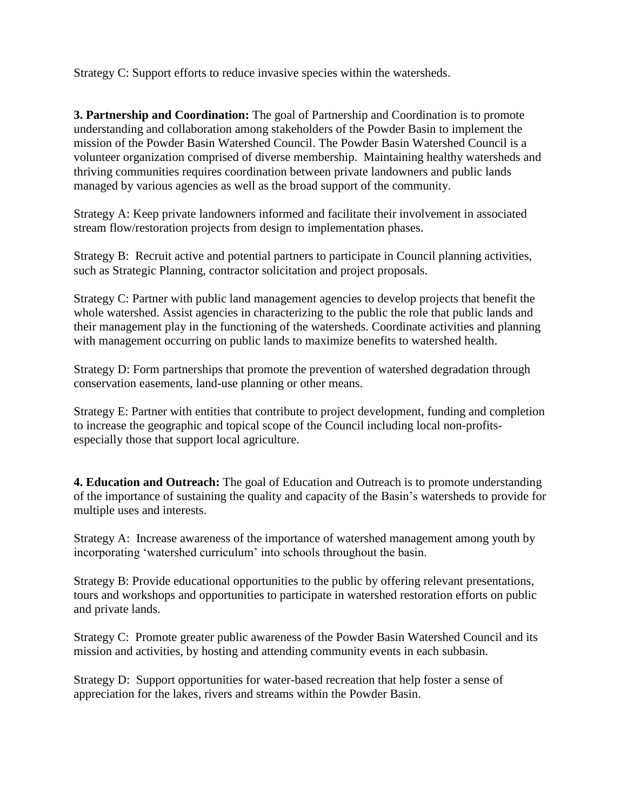Strategy C: Support efforts to reduce invasive species within the watersheds.

**3. Partnership and Coordination:** The goal of Partnership and Coordination is to promote understanding and collaboration among stakeholders of the Powder Basin to implement the mission of the Powder Basin Watershed Council. The Powder Basin Watershed Council is a volunteer organization comprised of diverse membership. Maintaining healthy watersheds and thriving communities requires coordination between private landowners and public lands managed by various agencies as well as the broad support of the community.

Strategy A: Keep private landowners informed and facilitate their involvement in associated stream flow/restoration projects from design to implementation phases.

Strategy B: Recruit active and potential partners to participate in Council planning activities, such as Strategic Planning, contractor solicitation and project proposals.

Strategy C: Partner with public land management agencies to develop projects that benefit the whole watershed. Assist agencies in characterizing to the public the role that public lands and their management play in the functioning of the watersheds. Coordinate activities and planning with management occurring on public lands to maximize benefits to watershed health.

Strategy D: Form partnerships that promote the prevention of watershed degradation through conservation easements, land-use planning or other means.

Strategy E: Partner with entities that contribute to project development, funding and completion to increase the geographic and topical scope of the Council including local non-profitsespecially those that support local agriculture.

**4. Education and Outreach:** The goal of Education and Outreach is to promote understanding of the importance of sustaining the quality and capacity of the Basin's watersheds to provide for multiple uses and interests.

Strategy A: Increase awareness of the importance of watershed management among youth by incorporating 'watershed curriculum' into schools throughout the basin.

Strategy B: Provide educational opportunities to the public by offering relevant presentations, tours and workshops and opportunities to participate in watershed restoration efforts on public and private lands.

Strategy C: Promote greater public awareness of the Powder Basin Watershed Council and its mission and activities, by hosting and attending community events in each subbasin.

Strategy D: Support opportunities for water-based recreation that help foster a sense of appreciation for the lakes, rivers and streams within the Powder Basin.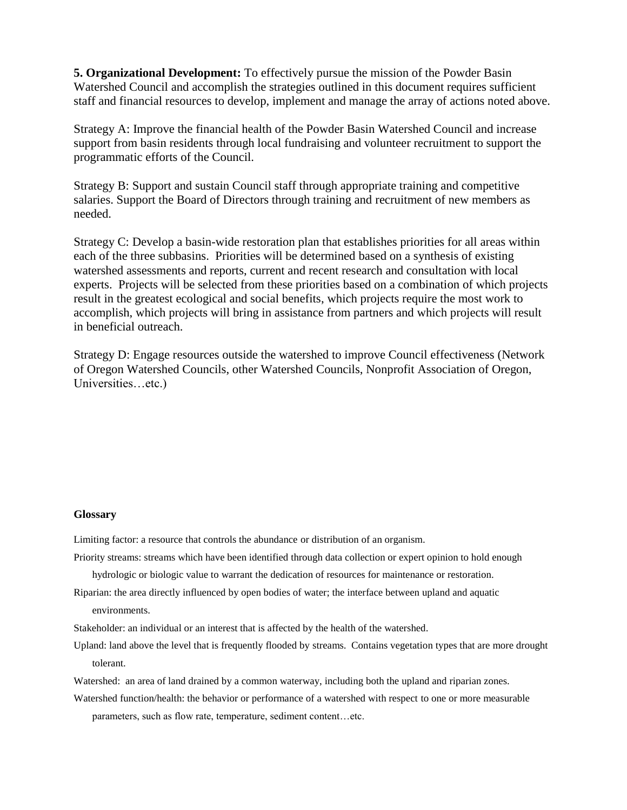**5. Organizational Development:** To effectively pursue the mission of the Powder Basin Watershed Council and accomplish the strategies outlined in this document requires sufficient staff and financial resources to develop, implement and manage the array of actions noted above.

Strategy A: Improve the financial health of the Powder Basin Watershed Council and increase support from basin residents through local fundraising and volunteer recruitment to support the programmatic efforts of the Council.

Strategy B: Support and sustain Council staff through appropriate training and competitive salaries. Support the Board of Directors through training and recruitment of new members as needed.

Strategy C: Develop a basin-wide restoration plan that establishes priorities for all areas within each of the three subbasins. Priorities will be determined based on a synthesis of existing watershed assessments and reports, current and recent research and consultation with local experts. Projects will be selected from these priorities based on a combination of which projects result in the greatest ecological and social benefits, which projects require the most work to accomplish, which projects will bring in assistance from partners and which projects will result in beneficial outreach.

Strategy D: Engage resources outside the watershed to improve Council effectiveness (Network of Oregon Watershed Councils, other Watershed Councils, Nonprofit Association of Oregon, Universities…etc.)

#### **Glossary**

Limiting factor: a resource that controls the abundance or distribution of an organism.

Priority streams: streams which have been identified through data collection or expert opinion to hold enough

hydrologic or biologic value to warrant the dedication of resources for maintenance or restoration.

Riparian: the area directly influenced by open bodies of water; the interface between upland and aquatic environments.

Stakeholder: an individual or an interest that is affected by the health of the watershed.

- Upland: land above the level that is frequently flooded by streams. Contains vegetation types that are more drought tolerant.
- Watershed: an area of land drained by a common waterway, including both the upland and riparian zones.
- Watershed function/health: the behavior or performance of a watershed with respect to one or more measurable

parameters, such as flow rate, temperature, sediment content…etc.